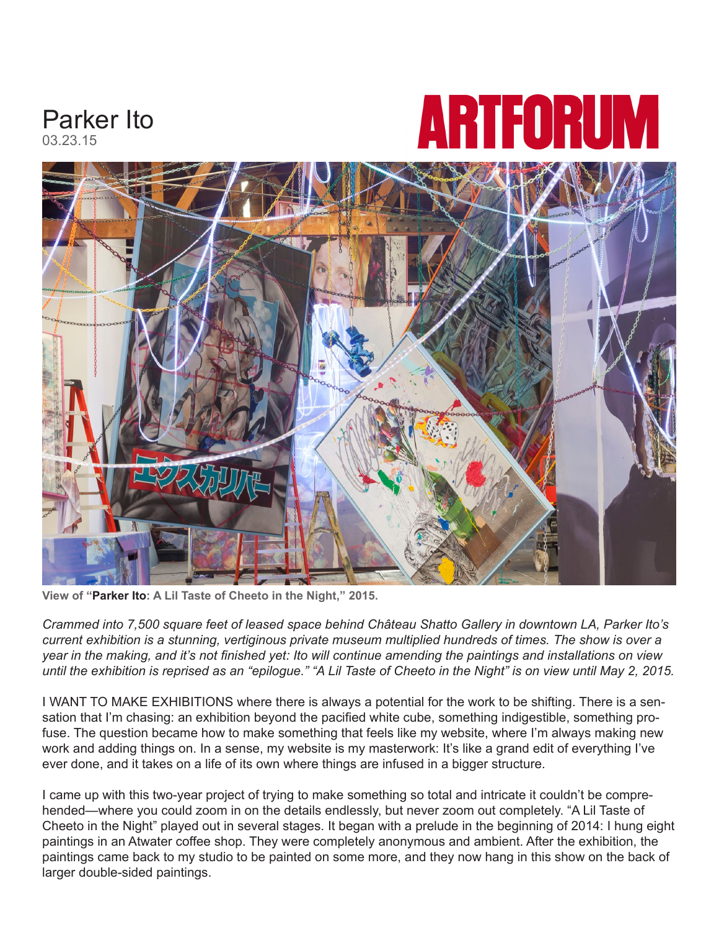

**View of "Parker Ito: A Lil Taste of Cheeto in the Night," 2015.**

*Crammed into 7,500 square feet of leased space behind Château Shatto Gallery in downtown LA, Parker Ito's current exhibition is a stunning, vertiginous private museum multiplied hundreds of times. The show is over a year in the making, and it's not finished yet: Ito will continue amending the paintings and installations on view until the exhibition is reprised as an "epilogue." "A Lil Taste of Cheeto in the Night" is on view until May 2, 2015.*

I WANT TO MAKE EXHIBITIONS where there is always a potential for the work to be shifting. There is a sensation that I'm chasing: an exhibition beyond the pacified white cube, something indigestible, something profuse. The question became how to make something that feels like my website, where I'm always making new work and adding things on. In a sense, my website is my masterwork: It's like a grand edit of everything I've ever done, and it takes on a life of its own where things are infused in a bigger structure.

I came up with this two-year project of trying to make something so total and intricate it couldn't be comprehended—where you could zoom in on the details endlessly, but never zoom out completely. "A Lil Taste of Cheeto in the Night" played out in several stages. It began with a prelude in the beginning of 2014: I hung eight paintings in an Atwater coffee shop. They were completely anonymous and ambient. After the exhibition, the paintings came back to my studio to be painted on some more, and they now hang in this show on the back of larger double-sided paintings.